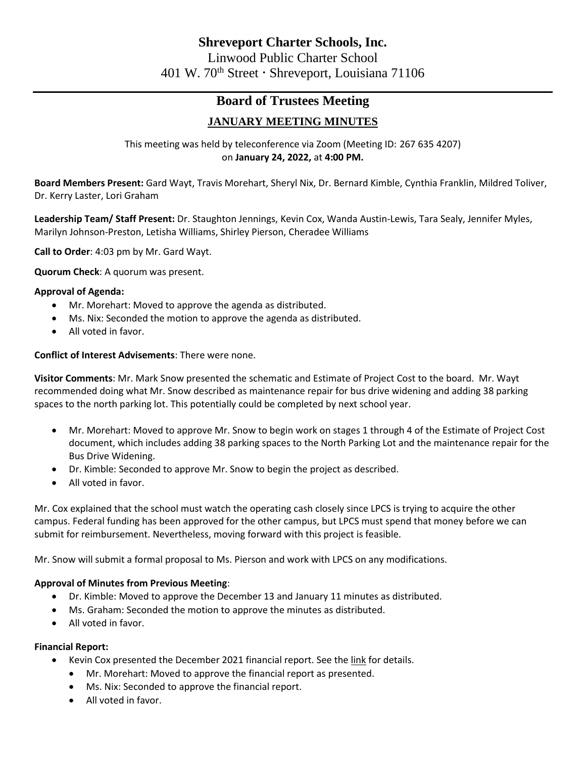# **Board of Trustees Meeting**

## **JANUARY MEETING MINUTES**

This meeting was held by teleconference via Zoom (Meeting ID: 267 635 4207) on **January 24, 2022,** at **4:00 PM.**

**Board Members Present:** Gard Wayt, Travis Morehart, Sheryl Nix, Dr. Bernard Kimble, Cynthia Franklin, Mildred Toliver, Dr. Kerry Laster, Lori Graham

**Leadership Team/ Staff Present:** Dr. Staughton Jennings, Kevin Cox, Wanda Austin-Lewis, Tara Sealy, Jennifer Myles, Marilyn Johnson-Preston, Letisha Williams, Shirley Pierson, Cheradee Williams

**Call to Order**: 4:03 pm by Mr. Gard Wayt.

**Quorum Check**: A quorum was present.

## **Approval of Agenda:**

- Mr. Morehart: Moved to approve the agenda as distributed.
- Ms. Nix: Seconded the motion to approve the agenda as distributed.
- All voted in favor.

## **Conflict of Interest Advisements**: There were none.

**Visitor Comments**: Mr. Mark Snow presented the schematic and Estimate of Project Cost to the board. Mr. Wayt recommended doing what Mr. Snow described as maintenance repair for bus drive widening and adding 38 parking spaces to the north parking lot. This potentially could be completed by next school year.

- Mr. Morehart: Moved to approve Mr. Snow to begin work on stages 1 through 4 of the Estimate of Project Cost document, which includes adding 38 parking spaces to the North Parking Lot and the maintenance repair for the Bus Drive Widening.
- Dr. Kimble: Seconded to approve Mr. Snow to begin the project as described.
- All voted in favor.

Mr. Cox explained that the school must watch the operating cash closely since LPCS is trying to acquire the other campus. Federal funding has been approved for the other campus, but LPCS must spend that money before we can submit for reimbursement. Nevertheless, moving forward with this project is feasible.

Mr. Snow will submit a formal proposal to Ms. Pierson and work with LPCS on any modifications.

## **Approval of Minutes from Previous Meeting**:

- Dr. Kimble: Moved to approve the December 13 and January 11 minutes as distributed.
- Ms. Graham: Seconded the motion to approve the minutes as distributed.
- All voted in favor.

## **Financial Report:**

- Kevin Cox presented the December 2021 financial report. See th[e link](https://linwoodsabis-my.sharepoint.com/personal/cwilliams_linwoodcharter_org/Documents/Board%20Meetings/Finance%20Report/2022/FY22%20December%20Finance%20Report%20-%20Linwood.pdf) for details.
	- Mr. Morehart: Moved to approve the financial report as presented.
	- Ms. Nix: Seconded to approve the financial report.
	- All voted in favor.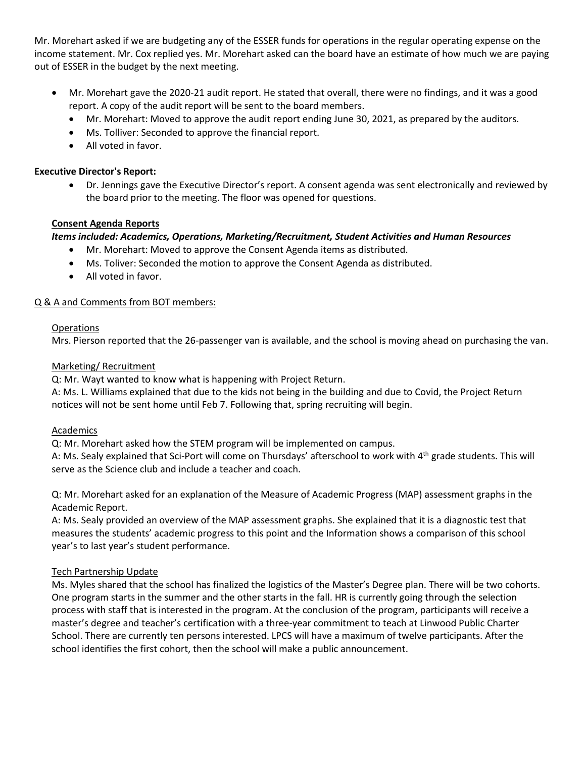Mr. Morehart asked if we are budgeting any of the ESSER funds for operations in the regular operating expense on the income statement. Mr. Cox replied yes. Mr. Morehart asked can the board have an estimate of how much we are paying out of ESSER in the budget by the next meeting.

- Mr. Morehart gave the 2020-21 audit report. He stated that overall, there were no findings, and it was a good report. A copy of the audit report will be sent to the board members.
	- Mr. Morehart: Moved to approve the audit report ending June 30, 2021, as prepared by the auditors.
	- Ms. Tolliver: Seconded to approve the financial report.
	- All voted in favor.

## **Executive Director's Report:**

• Dr. Jennings gave the Executive Director's report. A consent agenda was sent electronically and reviewed by the board prior to the meeting. The floor was opened for questions.

## **Consent Agenda Reports**

## *Items included: Academics, Operations, Marketing/Recruitment, Student Activities and Human Resources*

- Mr. Morehart: Moved to approve the Consent Agenda items as distributed.
- Ms. Toliver: Seconded the motion to approve the Consent Agenda as distributed.
- All voted in favor.

## Q & A and Comments from BOT members:

## Operations

Mrs. Pierson reported that the 26-passenger van is available, and the school is moving ahead on purchasing the van.

## Marketing/ Recruitment

Q: Mr. Wayt wanted to know what is happening with Project Return.

A: Ms. L. Williams explained that due to the kids not being in the building and due to Covid, the Project Return notices will not be sent home until Feb 7. Following that, spring recruiting will begin.

## Academics

Q: Mr. Morehart asked how the STEM program will be implemented on campus.

A: Ms. Sealy explained that Sci-Port will come on Thursdays' afterschool to work with  $4<sup>th</sup>$  grade students. This will serve as the Science club and include a teacher and coach.

Q: Mr. Morehart asked for an explanation of the Measure of Academic Progress (MAP) assessment graphs in the Academic Report.

A: Ms. Sealy provided an overview of the MAP assessment graphs. She explained that it is a diagnostic test that measures the students' academic progress to this point and the Information shows a comparison of this school year's to last year's student performance.

## Tech Partnership Update

Ms. Myles shared that the school has finalized the logistics of the Master's Degree plan. There will be two cohorts. One program starts in the summer and the other starts in the fall. HR is currently going through the selection process with staff that is interested in the program. At the conclusion of the program, participants will receive a master's degree and teacher's certification with a three-year commitment to teach at Linwood Public Charter School. There are currently ten persons interested. LPCS will have a maximum of twelve participants. After the school identifies the first cohort, then the school will make a public announcement.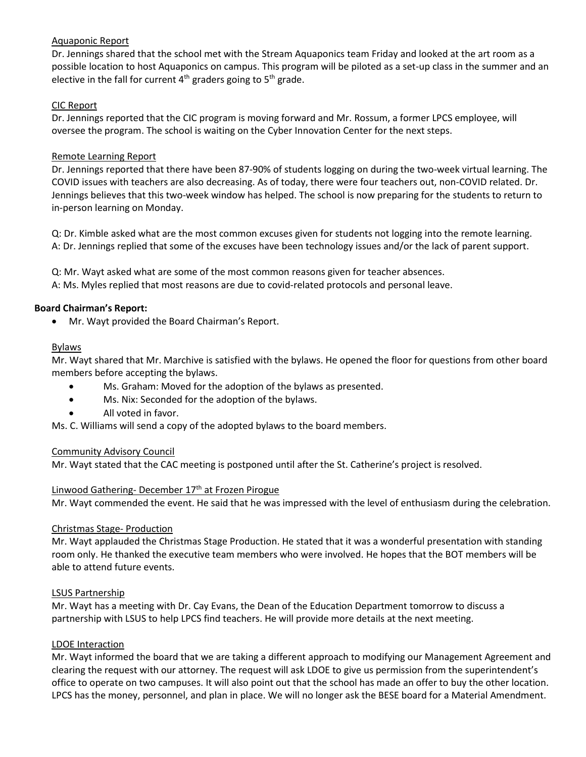## Aquaponic Report

Dr. Jennings shared that the school met with the Stream Aquaponics team Friday and looked at the art room as a possible location to host Aquaponics on campus. This program will be piloted as a set-up class in the summer and an elective in the fall for current  $4<sup>th</sup>$  graders going to  $5<sup>th</sup>$  grade.

## CIC Report

Dr. Jennings reported that the CIC program is moving forward and Mr. Rossum, a former LPCS employee, will oversee the program. The school is waiting on the Cyber Innovation Center for the next steps.

## Remote Learning Report

Dr. Jennings reported that there have been 87-90% of students logging on during the two-week virtual learning. The COVID issues with teachers are also decreasing. As of today, there were four teachers out, non-COVID related. Dr. Jennings believes that this two-week window has helped. The school is now preparing for the students to return to in-person learning on Monday.

Q: Dr. Kimble asked what are the most common excuses given for students not logging into the remote learning. A: Dr. Jennings replied that some of the excuses have been technology issues and/or the lack of parent support.

Q: Mr. Wayt asked what are some of the most common reasons given for teacher absences. A: Ms. Myles replied that most reasons are due to covid-related protocols and personal leave.

## **Board Chairman's Report:**

• Mr. Wayt provided the Board Chairman's Report.

## Bylaws

Mr. Wayt shared that Mr. Marchive is satisfied with the bylaws. He opened the floor for questions from other board members before accepting the bylaws.

- Ms. Graham: Moved for the adoption of the bylaws as presented.
- Ms. Nix: Seconded for the adoption of the bylaws.
- All voted in favor.

Ms. C. Williams will send a copy of the adopted bylaws to the board members.

## Community Advisory Council

Mr. Wayt stated that the CAC meeting is postponed until after the St. Catherine's project is resolved.

## Linwood Gathering- December 17<sup>th</sup> at Frozen Pirogue

Mr. Wayt commended the event. He said that he was impressed with the level of enthusiasm during the celebration.

## Christmas Stage- Production

Mr. Wayt applauded the Christmas Stage Production. He stated that it was a wonderful presentation with standing room only. He thanked the executive team members who were involved. He hopes that the BOT members will be able to attend future events.

## LSUS Partnership

Mr. Wayt has a meeting with Dr. Cay Evans, the Dean of the Education Department tomorrow to discuss a partnership with LSUS to help LPCS find teachers. He will provide more details at the next meeting.

## LDOE Interaction

Mr. Wayt informed the board that we are taking a different approach to modifying our Management Agreement and clearing the request with our attorney. The request will ask LDOE to give us permission from the superintendent's office to operate on two campuses. It will also point out that the school has made an offer to buy the other location. LPCS has the money, personnel, and plan in place. We will no longer ask the BESE board for a Material Amendment.